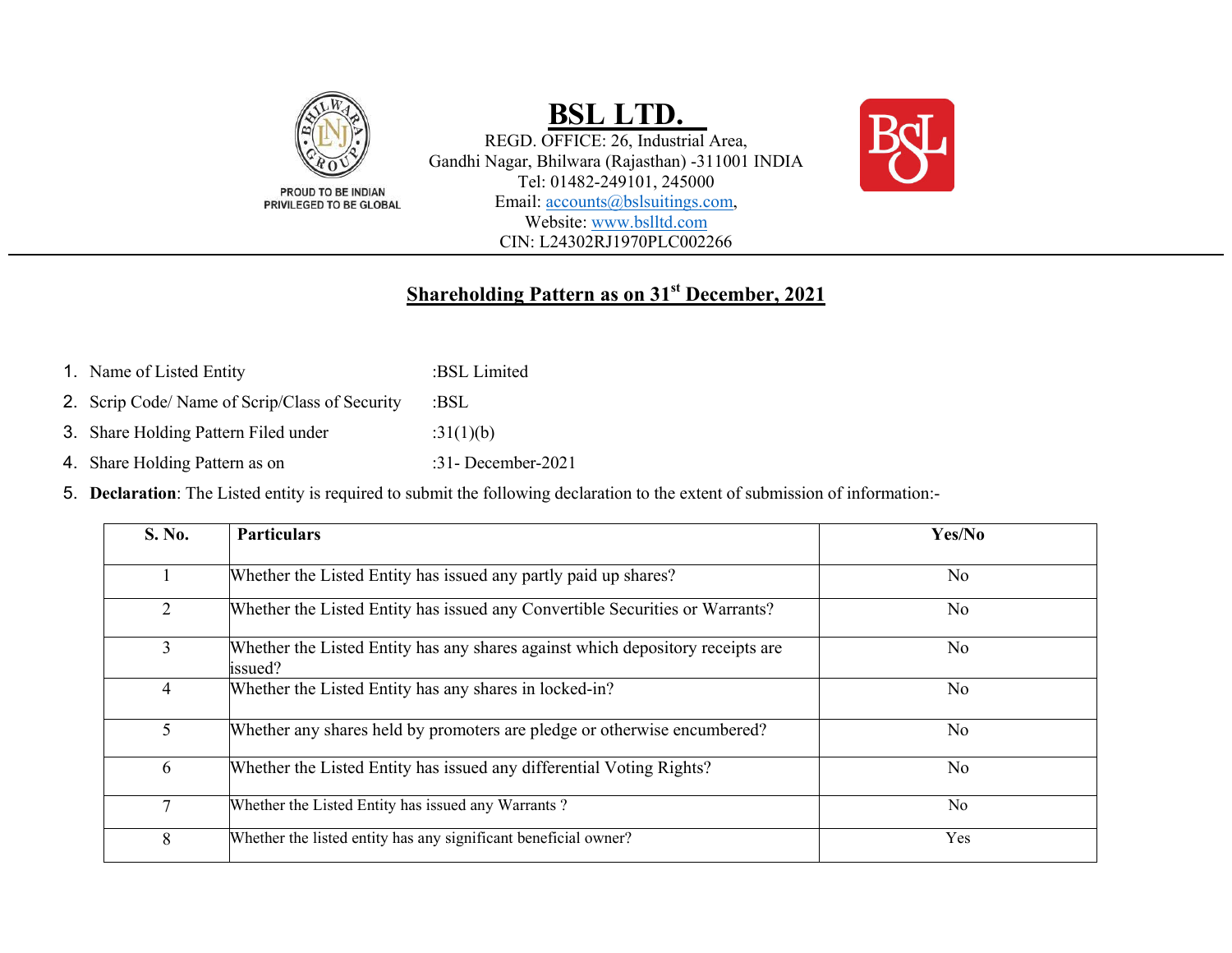

# **BSL LTD.**

REGD. OFFICE: 26, Industrial Area, Gandhi Nagar, Bhilwara (Rajasthan) -311001 INDIA Tel: 01482-249101, 245000 Email: accounts@bslsuitings.com, Website: www.bslltd.com CIN: L24302RJ1970PLC002266



### **Shareholding Pattern as on 31st December, 2021**

- 1. Name of Listed Entity :BSL Limited
- 2. Scrip Code/ Name of Scrip/Class of Security :BSL
- 3. Share Holding Pattern Filed under :31(1)(b)
- 4. Share Holding Pattern as on :31- December-2021
- 5. **Declaration**: The Listed entity is required to submit the following declaration to the extent of submission of information:-

| S. No.         | <b>Particulars</b>                                                                        | Yes/No         |
|----------------|-------------------------------------------------------------------------------------------|----------------|
|                | Whether the Listed Entity has issued any partly paid up shares?                           | No.            |
| $\overline{2}$ | Whether the Listed Entity has issued any Convertible Securities or Warrants?              | No             |
| 3              | Whether the Listed Entity has any shares against which depository receipts are<br>issued? | No             |
| 4              | Whether the Listed Entity has any shares in locked-in?                                    | N <sub>o</sub> |
| 5 <sup>5</sup> | Whether any shares held by promoters are pledge or otherwise encumbered?                  | N <sub>0</sub> |
| 6              | Whether the Listed Entity has issued any differential Voting Rights?                      | N <sub>o</sub> |
| $\tau$         | Whether the Listed Entity has issued any Warrants?                                        | N <sub>o</sub> |
| 8              | Whether the listed entity has any significant beneficial owner?                           | Yes            |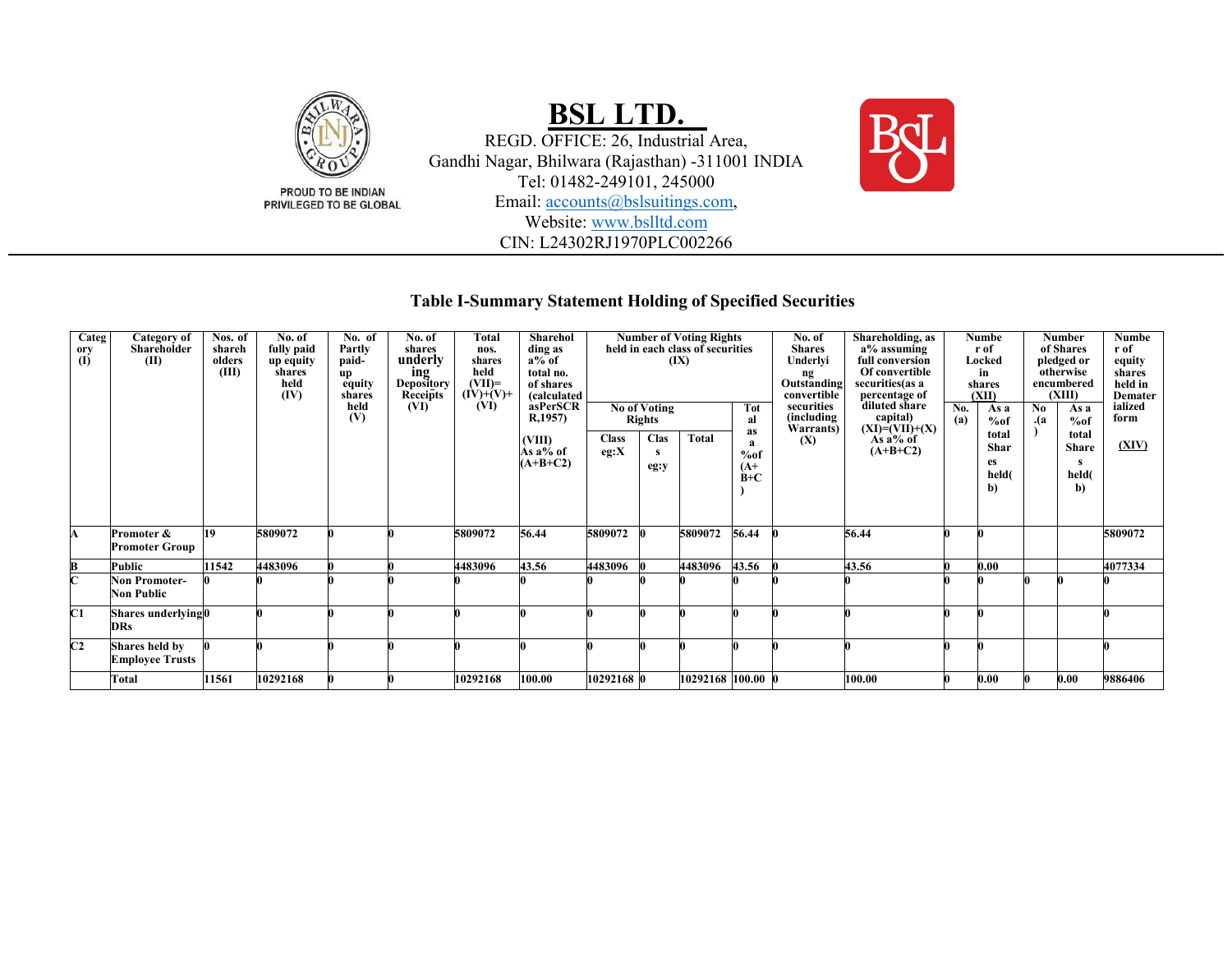

### **Table I-Summary Statement Holding of Specified Securities**

| Categ<br>ory<br>(I) | Category of<br>Shareholder<br>(II)        | $\overline{\text{N}}$ os. of<br>shareh<br>olders<br>(III) | No. of<br>fully paid<br>up equity<br>shares<br>held<br>(IV) | No. of<br>Partly<br>paid-<br>up<br>equity<br>shares<br>held<br>(V) | No. of<br>shares<br>underly<br>ing<br><b>Depository</b><br>Receipts<br>(VI) | <b>Total</b><br>nos.<br>shares<br>held<br>$(VII)=$<br>$(IV)+(V)+$<br>(VI) | Sharehol<br>ding as<br>$a\%$ of<br>total no.<br>of shares<br>(calculated<br>asPerSCR<br>R,1957) |                      | <b>Number of Voting Rights</b><br>(IX)<br>Tot<br><b>Rights</b><br>al |                   |                          |     | Shareholding, as<br>No. of<br>held in each class of securities<br><b>Shares</b><br>a% assuming<br>Underlyi<br>full conversion<br>Of convertible<br>ng<br>Outstanding<br>securities (as a<br>percentage of<br>convertible<br>diluted share<br>securities<br>No of Voting<br>(including<br>capital)<br>$(XI)=(VII)+(X)$<br>Warrants)<br>as |  | No.<br>(a)                                | Numbe<br>r of<br>Locked<br>in<br>shares<br>(XII)<br>As a<br>%of | No.<br>.(a                                | Number<br>of Shares<br>pledged or<br>otherwise<br>encumbered<br>(XIII)<br>As a<br>%of | Numbe<br>r of<br>equity<br>shares<br>held in<br><b>Demater</b><br>ialized<br>form |
|---------------------|-------------------------------------------|-----------------------------------------------------------|-------------------------------------------------------------|--------------------------------------------------------------------|-----------------------------------------------------------------------------|---------------------------------------------------------------------------|-------------------------------------------------------------------------------------------------|----------------------|----------------------------------------------------------------------|-------------------|--------------------------|-----|------------------------------------------------------------------------------------------------------------------------------------------------------------------------------------------------------------------------------------------------------------------------------------------------------------------------------------------|--|-------------------------------------------|-----------------------------------------------------------------|-------------------------------------------|---------------------------------------------------------------------------------------|-----------------------------------------------------------------------------------|
|                     |                                           |                                                           |                                                             |                                                                    |                                                                             |                                                                           | (VIII)<br>As a% of<br>$(A+B+C2)$                                                                | <b>Class</b><br>eg:X | Clas<br>s<br>eg:y                                                    | <b>Total</b>      | a<br>%of<br>$(A+$<br>B+C | (X) | As $a\%$ of<br>$(A+B+C2)$                                                                                                                                                                                                                                                                                                                |  | total<br><b>Shar</b><br>es<br>held(<br>b) |                                                                 | total<br><b>Share</b><br>s<br>held(<br>b) | (XIV)                                                                                 |                                                                                   |
| A                   | Promoter &<br><b>Promoter Group</b>       | 19                                                        | 5809072                                                     |                                                                    |                                                                             | 5809072                                                                   | 56.44                                                                                           | 5809072              |                                                                      | 5809072           | 56.44                    |     | 56.44                                                                                                                                                                                                                                                                                                                                    |  |                                           |                                                                 |                                           | 5809072                                                                               |                                                                                   |
| В                   | Public                                    | 11542                                                     | 4483096                                                     |                                                                    |                                                                             | 4483096                                                                   | 43.56                                                                                           | 4483096              |                                                                      | 4483096           | 43.56                    |     | 43.56                                                                                                                                                                                                                                                                                                                                    |  | 0.00                                      |                                                                 |                                           | 4077334                                                                               |                                                                                   |
| Ċ                   | <b>Non Promoter-</b><br><b>Non Public</b> |                                                           |                                                             |                                                                    |                                                                             |                                                                           |                                                                                                 |                      |                                                                      |                   |                          |     |                                                                                                                                                                                                                                                                                                                                          |  |                                           |                                                                 |                                           |                                                                                       |                                                                                   |
| C1                  | Shares underlying0<br><b>DRs</b>          |                                                           |                                                             |                                                                    |                                                                             |                                                                           |                                                                                                 |                      |                                                                      |                   |                          |     |                                                                                                                                                                                                                                                                                                                                          |  |                                           |                                                                 |                                           |                                                                                       |                                                                                   |
| C <sub>2</sub>      | Shares held by<br><b>Employee Trusts</b>  |                                                           |                                                             |                                                                    |                                                                             |                                                                           |                                                                                                 |                      |                                                                      |                   |                          |     |                                                                                                                                                                                                                                                                                                                                          |  |                                           |                                                                 |                                           |                                                                                       |                                                                                   |
|                     | <b>Total</b>                              | 1561                                                      | 10292168                                                    |                                                                    |                                                                             | 10292168                                                                  | 100.00                                                                                          | 10292168 0           |                                                                      | 10292168 100.00 0 |                          |     | 100.00                                                                                                                                                                                                                                                                                                                                   |  | 0.00                                      |                                                                 | 0.00                                      | 9886406                                                                               |                                                                                   |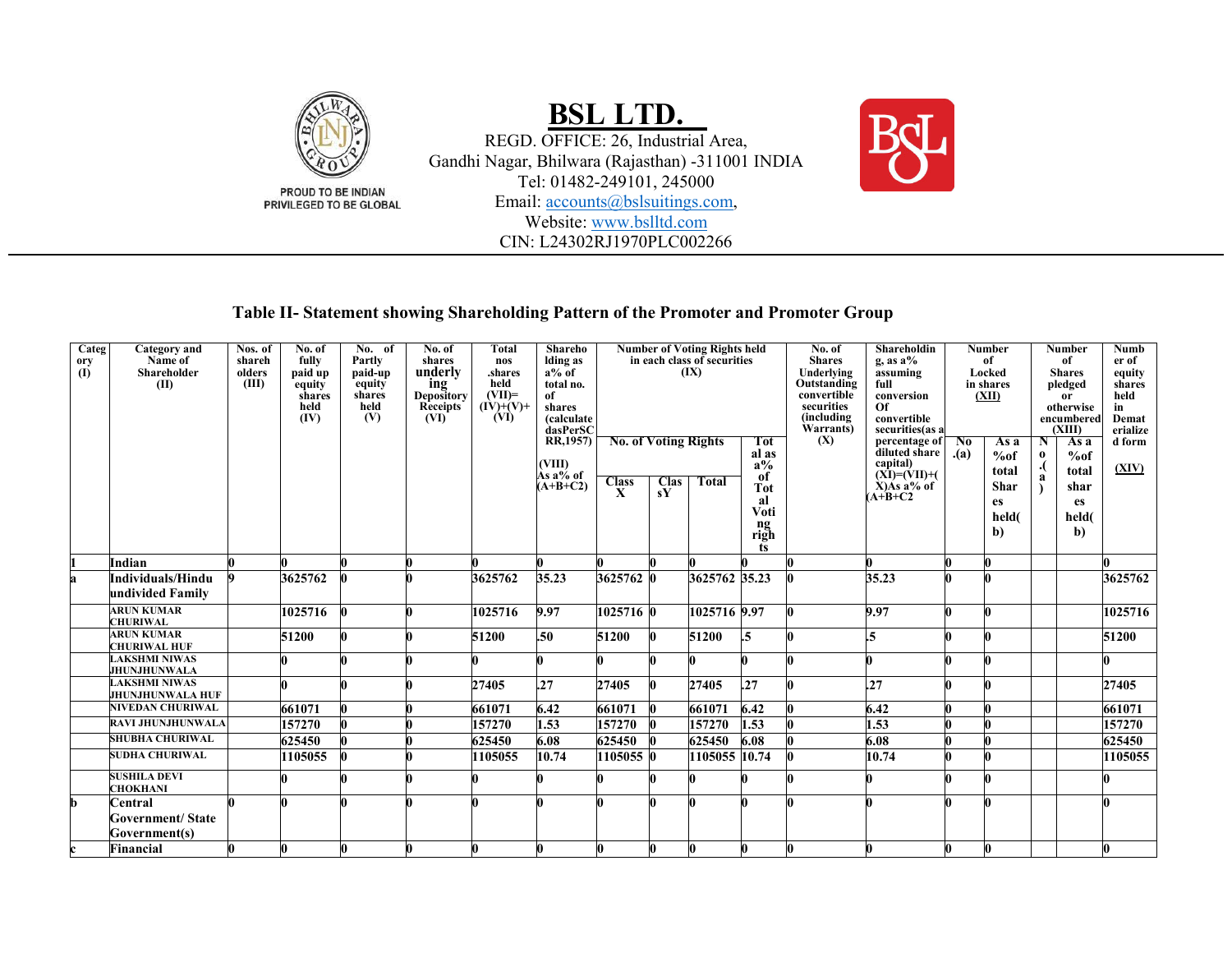

### **Table II- Statement showing Shareholding Pattern of the Promoter and Promoter Group**

| $\overline{\text{Categ}}$ | <b>Category</b> and      | Nos. of | No. of  | No. of  | No. of          | Total       | Shareho              | <b>Number of Voting Rights held</b> |                   |                             | No. of     | Shareholdin             |                                                                  | <b>Number</b> |             | Number   | Numb           |                    |
|---------------------------|--------------------------|---------|---------|---------|-----------------|-------------|----------------------|-------------------------------------|-------------------|-----------------------------|------------|-------------------------|------------------------------------------------------------------|---------------|-------------|----------|----------------|--------------------|
| ory                       | Name of                  | shareh  | fully   | Partly  | shares          | nos         | lding as             |                                     |                   | in each class of securities |            | <b>Shares</b>           | $g$ , as $a\%$                                                   |               | of          |          | of             | er of              |
| $\overline{a}$            | Shareholder              | olders  | paid up | paid-up | underly         | .shares     | $a\%$ of             |                                     |                   | (IX)                        |            | Underlying              | assuming                                                         |               | Locked      |          | <b>Shares</b>  | equity             |
|                           | (II)                     | (III)   | equity  | equity  | ing             | held        | total no.            |                                     |                   |                             |            | Outstanding             | full                                                             |               | in shares   |          | pledged        | shares             |
|                           |                          |         | shares  | shares  | Depository      | $(VII)=$    | of                   |                                     |                   |                             |            | convertible             | conversion                                                       |               | (XII)       |          | <sub>or</sub>  | held               |
|                           |                          |         | held    | held    | <b>Receipts</b> | $(IV)+(V)+$ | shares               |                                     |                   |                             |            | securities              | Of                                                               |               |             |          | otherwise      | in                 |
|                           |                          |         | (IV)    | (V)     | (VI)            | (VI)        | <i>(calculate)</i>   |                                     |                   |                             |            | (including<br>Warrants) | convertible                                                      |               |             |          | encumbered     | Demat              |
|                           |                          |         |         |         |                 |             | dasPerSC<br>RR,1957) | <b>No. of Voting Rights</b>         |                   |                             | <b>Tot</b> | (X)                     | securities(as a<br>percentage of $\boxed{\phantom{1} \text{No}}$ |               | As a        | N        | (XIII)<br>As a | erialize<br>d form |
|                           |                          |         |         |         |                 |             |                      |                                     |                   |                             | al as      |                         | diluted share                                                    | (a)           |             | $\bf{0}$ |                |                    |
|                           |                          |         |         |         |                 |             | (VIII)               |                                     |                   |                             | $a\%$      |                         | capital)                                                         |               | %of         |          | %of            |                    |
|                           |                          |         |         |         |                 |             | Às a% of             |                                     |                   |                             | of         |                         | $(XI)=(VII)+($                                                   |               | total       |          | total          | (XIV)              |
|                           |                          |         |         |         |                 |             | $(A+B+C2)$           | <b>Class</b><br>$\mathbf{x}$        | <b>Clas</b><br>sY | <b>Total</b>                | <b>Tot</b> |                         | $\hat{X}$ ) $\hat{A}$ s a% of                                    |               | <b>Shar</b> |          | shar           |                    |
|                           |                          |         |         |         |                 |             |                      |                                     |                   |                             | al         |                         | $(A+B+C2)$                                                       |               | es          |          | <b>es</b>      |                    |
|                           |                          |         |         |         |                 |             |                      |                                     |                   |                             | Voti       |                         |                                                                  |               | held(       |          | held(          |                    |
|                           |                          |         |         |         |                 |             |                      |                                     |                   |                             | ng<br>righ |                         |                                                                  |               |             |          |                |                    |
|                           |                          |         |         |         |                 |             |                      |                                     |                   |                             |            |                         |                                                                  |               | b)          |          | $\mathbf{b}$   |                    |
|                           |                          |         |         |         |                 |             |                      |                                     |                   |                             | ts         |                         |                                                                  |               |             |          |                |                    |
|                           | Indian                   |         |         |         |                 |             |                      |                                     |                   |                             |            |                         |                                                                  |               |             |          |                |                    |
|                           | Individuals/Hindu        |         | 3625762 |         |                 | 3625762     | 35.23                | 3625762 0                           |                   | 3625762 35.23               |            |                         | 35.23                                                            |               |             |          |                | 3625762            |
|                           | undivided Family         |         |         |         |                 |             |                      |                                     |                   |                             |            |                         |                                                                  |               |             |          |                |                    |
|                           | <b>ARUN KUMAR</b>        |         | 1025716 |         |                 | 1025716     | 9.97                 | 1025716 0                           |                   |                             |            |                         | 9.97                                                             |               |             |          |                | 1025716            |
|                           | <b>CHURIWAL</b>          |         |         |         |                 |             |                      |                                     |                   | 1025716 9.97                |            |                         |                                                                  |               |             |          |                |                    |
|                           | <b>ARUN KUMAR</b>        |         | 51200   |         |                 | 51200       | .50                  | 51200                               |                   | 51200                       | $.5\,$     |                         | $\overline{.5}$                                                  |               |             |          |                | 51200              |
|                           | <b>CHURIWAL HUF</b>      |         |         |         |                 |             |                      |                                     |                   |                             |            |                         |                                                                  |               |             |          |                |                    |
|                           | <b>LAKSHMI NIWAS</b>     |         |         |         |                 |             |                      |                                     |                   |                             |            |                         |                                                                  |               |             |          |                |                    |
|                           | <b>JHUNJHUNWALA</b>      |         |         |         |                 |             |                      |                                     |                   |                             |            |                         |                                                                  |               |             |          |                |                    |
|                           | <b>LAKSHMI NIWAS</b>     |         |         |         |                 | 27405       | .27                  | 27405                               |                   | 27405                       | .27        |                         | .27                                                              |               |             |          |                | 27405              |
|                           | <b>JHUNJHUNWALA HUF</b>  |         |         |         |                 |             |                      |                                     |                   |                             |            |                         |                                                                  |               |             |          |                |                    |
|                           | <b>NIVEDAN CHURIWAL</b>  |         | 661071  |         |                 | 661071      | 6.42                 | 661071                              |                   | 661071                      | 6.42       |                         | 6.42                                                             |               |             |          |                | 661071             |
|                           | <b>RAVI JHUNJHUNWALA</b> |         | 157270  |         |                 | 157270      | 1.53                 | 157270                              |                   | 157270                      | 1.53       |                         | 1.53                                                             |               |             |          |                | 157270             |
|                           | <b>SHUBHA CHURIWAL</b>   |         | 625450  |         |                 | 625450      | 6.08                 | 625450                              |                   | 625450                      | 6.08       |                         | 6.08                                                             |               |             |          |                | 625450             |
|                           | <b>SUDHA CHURIWAL</b>    |         | 1105055 |         |                 | 1105055     | 10.74                | 1105055 0                           |                   | 1105055 10.74               |            |                         | 10.74                                                            |               |             |          |                | 1105055            |
|                           | <b>SUSHILA DEVI</b>      |         |         |         |                 |             |                      |                                     |                   |                             |            |                         |                                                                  |               |             |          |                |                    |
|                           | <b>CHOKHANI</b>          |         |         |         |                 |             |                      |                                     |                   |                             |            |                         |                                                                  |               |             |          |                |                    |
| lb.                       | Central                  |         |         |         |                 |             |                      |                                     |                   |                             |            |                         |                                                                  |               |             |          |                |                    |
|                           | <b>Government/State</b>  |         |         |         |                 |             |                      |                                     |                   |                             |            |                         |                                                                  |               |             |          |                |                    |
|                           | Government(s)            |         |         |         |                 |             |                      |                                     |                   |                             |            |                         |                                                                  |               |             |          |                |                    |
|                           | Financial                |         |         |         |                 |             |                      |                                     |                   |                             |            |                         | 0                                                                |               |             |          |                | O.                 |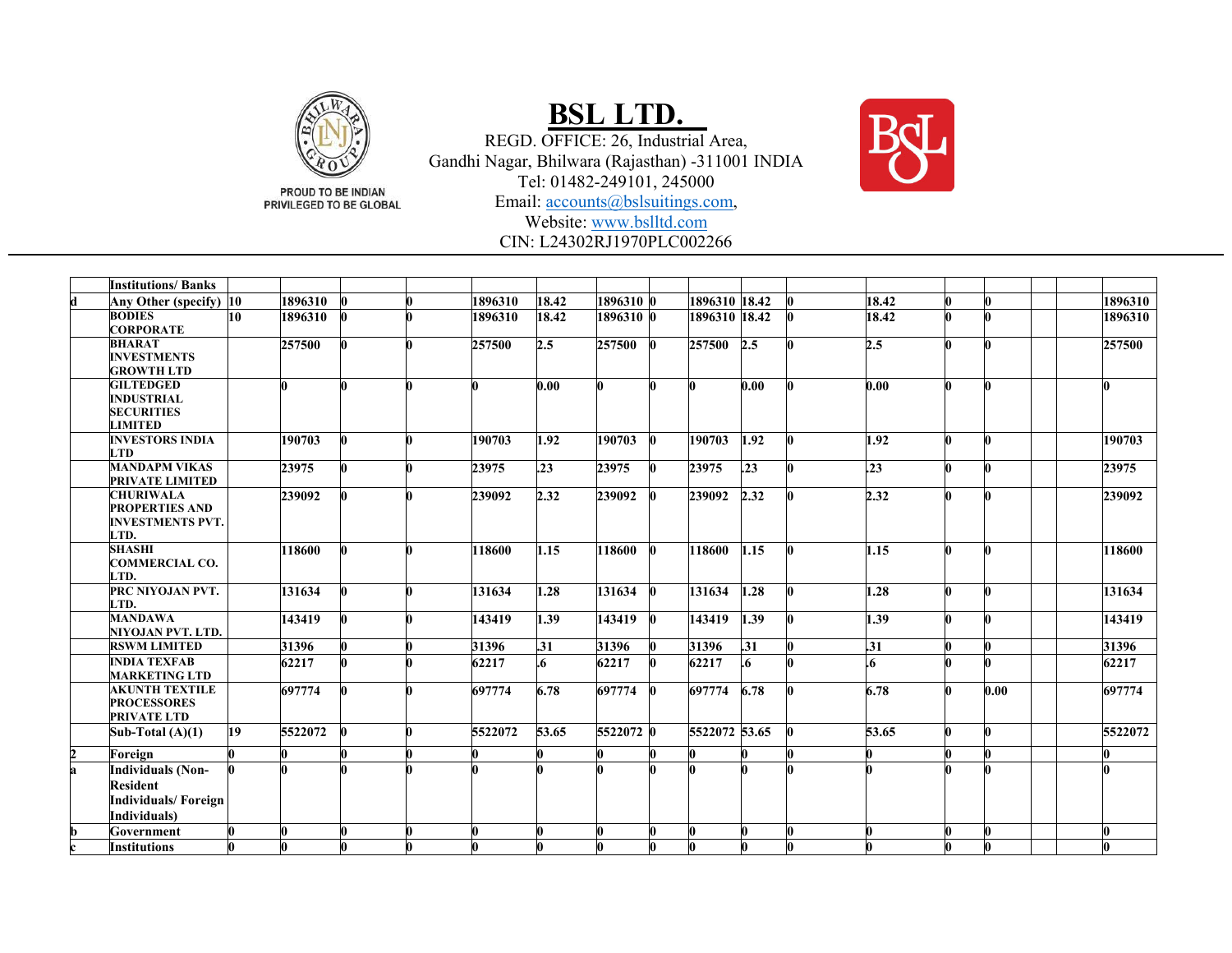

PROUD TO BE INDIAN PRIVILEGED TO BE GLOBAL

### **BSL LTD.**

REGD. OFFICE: 26, Industrial Area, Gandhi Nagar, Bhilwara (Rajasthan) -311001 INDIA Tel: 01482-249101, 245000 Email: accounts@bslsuitings.com, Website: www.bslltd.com



CIN: L24302RJ1970PLC002266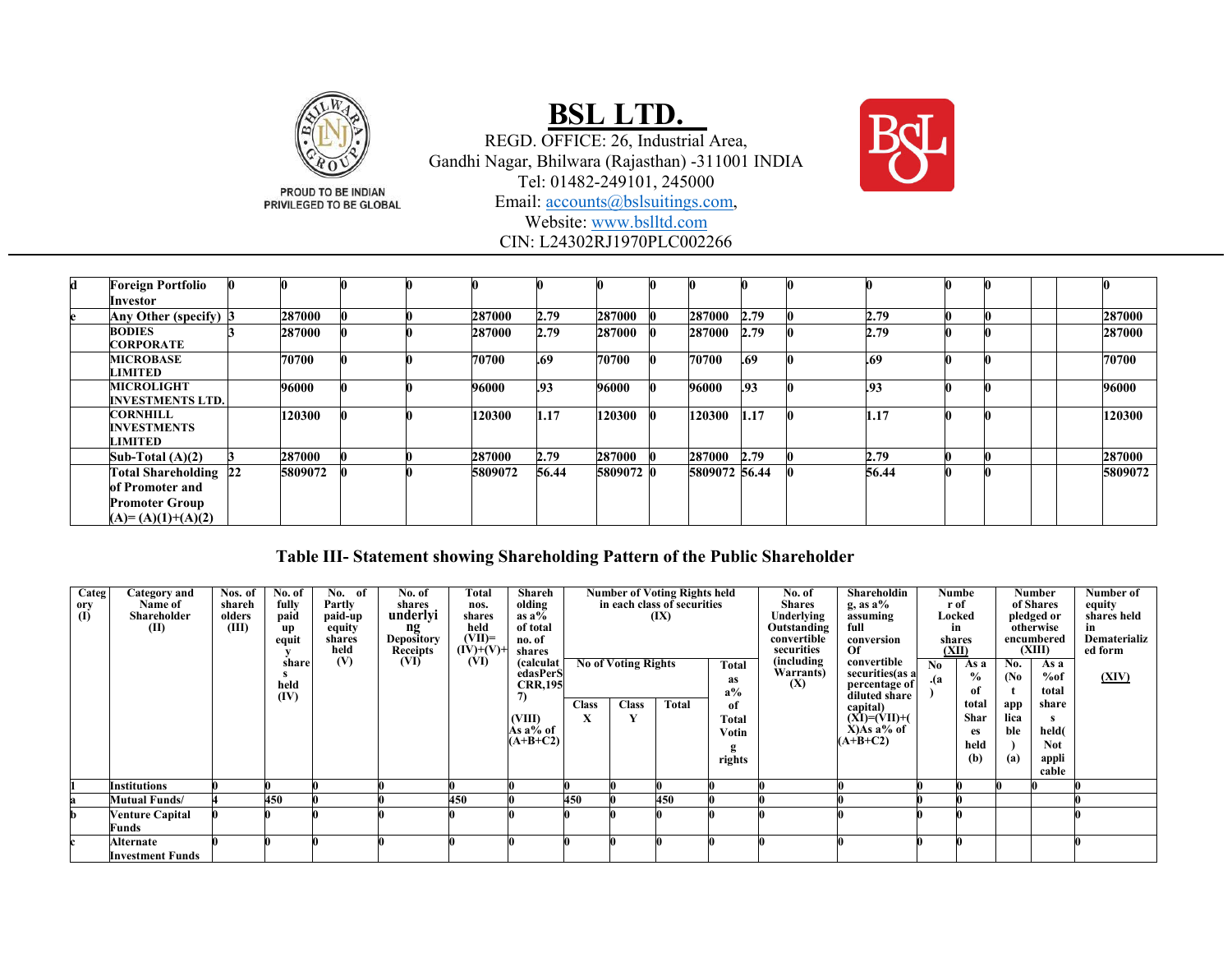

# **BSL LTD.**

REGD. OFFICE: 26, Industrial Area, Gandhi Nagar, Bhilwara (Rajasthan) -311001 INDIA Tel: 01482-249101, 245000 Email: accounts@bslsuitings.com, Website: www.bslltd.com CIN: L24302RJ1970PLC002266

| d | <b>Foreign Portfolio</b>                         |         |  |         |       |           |               |      |       |  |  |         |
|---|--------------------------------------------------|---------|--|---------|-------|-----------|---------------|------|-------|--|--|---------|
|   | Investor                                         |         |  |         |       |           |               |      |       |  |  |         |
|   | Any Other (specify) 3                            | 287000  |  | 287000  | 2.79  | 287000    | 287000        | 2.79 | 2.79  |  |  | 287000  |
|   | <b>BODIES</b><br><b>CORPORATE</b>                | 287000  |  | 287000  | 2.79  | 287000    | 287000        | 2.79 | 2.79  |  |  | 287000  |
|   | <b>MICROBASE</b><br><b>LIMITED</b>               | 70700   |  | 70700   | .69   | 70700     | 70700         | .69  | .69   |  |  | 70700   |
|   | <b>MICROLIGHT</b><br><b>INVESTMENTS LTD.</b>     | 96000   |  | 96000   | .93   | 96000     | 96000         | .93  | .93   |  |  | 96000   |
|   | <b>CORNHILL</b><br><b>INVESTMENTS</b><br>LIMITED | 120300  |  | 120300  | 1.17  | 120300    | 120300        | 1.17 | 1.17  |  |  | 120300  |
|   | Sub-Total $(A)(2)$                               | 287000  |  | 287000  | 2.79  | 287000    | 287000 2.79   |      | 2.79  |  |  | 287000  |
|   | <b>Total Shareholding 22</b><br>of Promoter and  | 5809072 |  | 5809072 | 56.44 | 5809072 0 | 5809072 56.44 |      | 56.44 |  |  | 5809072 |
|   | <b>Promoter Group</b><br>$(A)=(A)(1)+(A)(2)$     |         |  |         |       |           |               |      |       |  |  |         |

### **Table III- Statement showing Shareholding Pattern of the Public Shareholder**

| Categ                     | Category and            | Nos. of | No. of | No. of         | No. of                        | Total                    | Shareh                 |              |                            | <b>Number of Voting Rights held</b> |           | No. of                    | Shareholdin        |      | Numbe         |                   | <b>Number</b>        | Number of                      |
|---------------------------|-------------------------|---------|--------|----------------|-------------------------------|--------------------------|------------------------|--------------|----------------------------|-------------------------------------|-----------|---------------------------|--------------------|------|---------------|-------------------|----------------------|--------------------------------|
| ory                       | Name of                 | shareh  | fully  | Partly         | shares                        | nos.                     | olding                 |              |                            | in each class of securities         |           | <b>Shares</b>             | $g$ , as $a\%$     |      | r of          |                   | of Shares            | equity                         |
| $\overline{(\mathbf{I})}$ | Shareholder             | olders  | paid   | paid-up        | underlyi                      | shares                   | as $a\overline{6}$     |              |                            | (IX)                                |           | Underlying                | assuming           |      | Locked        |                   | pledged or           | shares held                    |
|                           | (II)                    | (III)   | up     | equity         | $\mathbf{ng}$                 | held                     | of total               |              |                            |                                     |           | Outstanding               | full               |      | in            |                   | otherwise            | in                             |
|                           |                         |         | equit  | shares<br>held | <b>Depository</b><br>Receipts | $(VII)=$<br>$(IV)+(V)$ + | no. of                 |              |                            |                                     |           | convertible<br>securities | conversion         |      | shares        |                   | encumbered<br>(XIII) | <b>Dematerializ</b><br>ed form |
|                           |                         |         |        | (V)            | (VI)                          | (VI)                     | shares                 |              |                            |                                     |           | (including                | Of<br>convertible  |      | (XII)         |                   |                      |                                |
|                           |                         |         | share  |                |                               |                          | (calculat)<br>edasPerS |              | <b>No of Voting Rights</b> |                                     | Total     | Warrants)                 | securities(as a    | No   | As a          | No.               | As a                 |                                |
|                           |                         |         | held   |                |                               |                          | <b>CRR,195</b>         |              |                            |                                     | <b>as</b> | (X)                       | percentage of      | . (a | $\frac{6}{9}$ | (N <sub>0</sub> ) | %of                  | (XIV)                          |
|                           |                         |         | (IV)   |                |                               |                          | 7)                     |              |                            |                                     | $a\%$     |                           | diluted share      |      | of            |                   | total                |                                |
|                           |                         |         |        |                |                               |                          |                        | <b>Class</b> | <b>Class</b>               | <b>Total</b>                        | оf        |                           | capital)           |      | total         | арр               | share                |                                |
|                           |                         |         |        |                |                               |                          | (VIII)                 | X            |                            |                                     | Total     |                           | $(XI)=(VII)+(VII)$ |      | Shar          | lica              |                      |                                |
|                           |                         |         |        |                |                               |                          | Às a% of               |              |                            |                                     | Votin     |                           | $X)As$ a% of       |      | es            | ble               | held(                |                                |
|                           |                         |         |        |                |                               |                          | $A+B+C2$               |              |                            |                                     |           |                           | $(A+B+C2)$         |      | held          |                   | <b>Not</b>           |                                |
|                           |                         |         |        |                |                               |                          |                        |              |                            |                                     | rights    |                           |                    |      | (b)           | (a)               | appli                |                                |
|                           |                         |         |        |                |                               |                          |                        |              |                            |                                     |           |                           |                    |      |               |                   | cable                |                                |
|                           | <b>Institutions</b>     |         |        |                |                               |                          |                        |              |                            |                                     |           |                           |                    |      |               |                   |                      |                                |
|                           | <b>Mutual Funds/</b>    |         | 450    |                |                               | 450                      |                        | 450          |                            | 450                                 |           |                           |                    |      |               |                   |                      |                                |
|                           | <b>Venture Capital</b>  |         |        |                |                               |                          |                        |              |                            |                                     |           |                           |                    |      |               |                   |                      |                                |
|                           | Funds                   |         |        |                |                               |                          |                        |              |                            |                                     |           |                           |                    |      |               |                   |                      |                                |
|                           | Alternate               |         |        |                |                               |                          |                        |              |                            |                                     |           |                           |                    |      |               |                   |                      |                                |
|                           | <b>Investment Funds</b> |         |        |                |                               |                          |                        |              |                            |                                     |           |                           |                    |      |               |                   |                      |                                |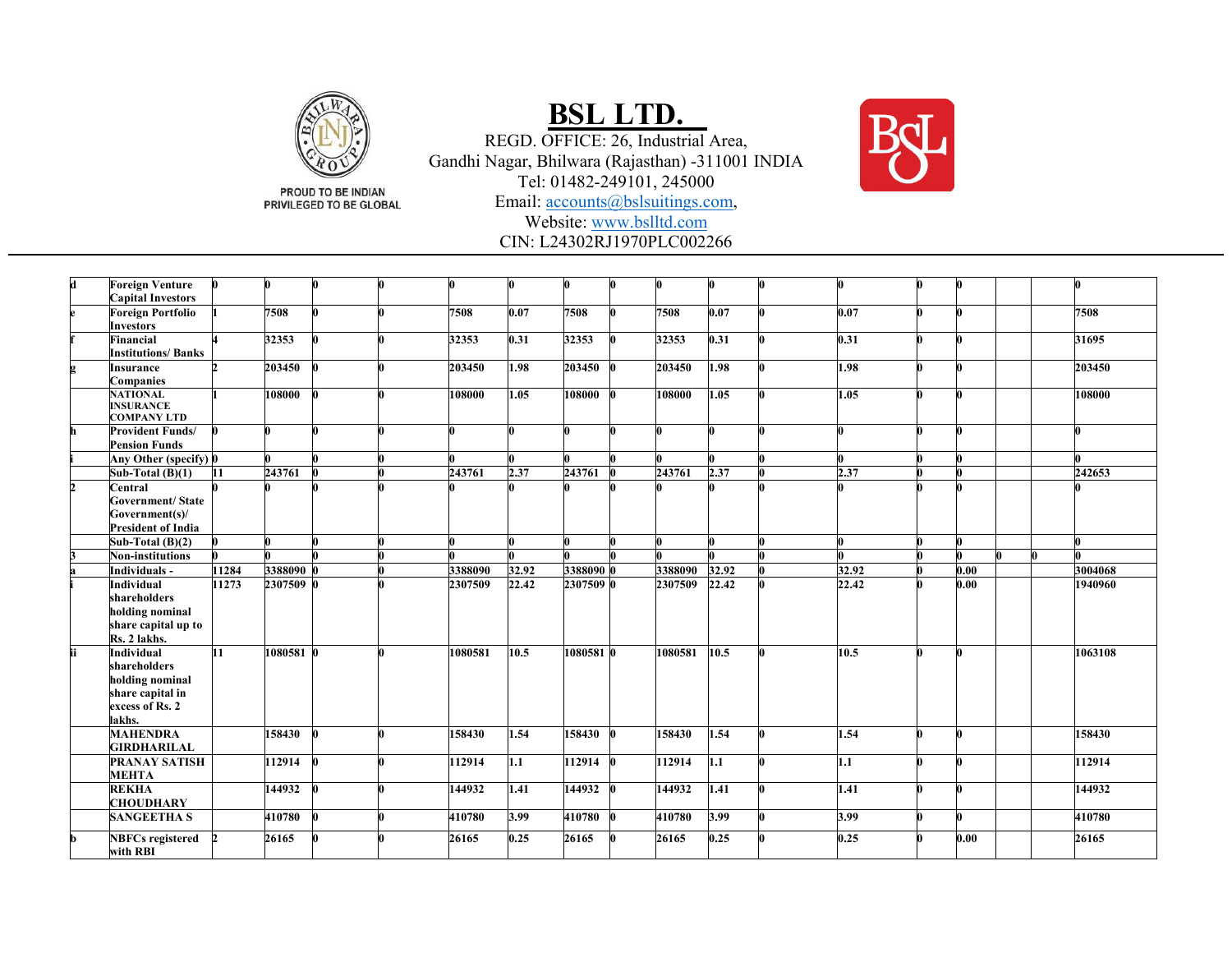

PROUD TO BE INDIAN PRIVILEGED TO BE GLOBAL

# **BSL LTD.**

REGD. OFFICE: 26, Industrial Area, Gandhi Nagar, Bhilwara (Rajasthan) -311001 INDIA Tel: 01482-249101, 245000 Email: accounts@bslsuitings.com, Website: www.bslltd.com



CIN: L24302RJ1970PLC002266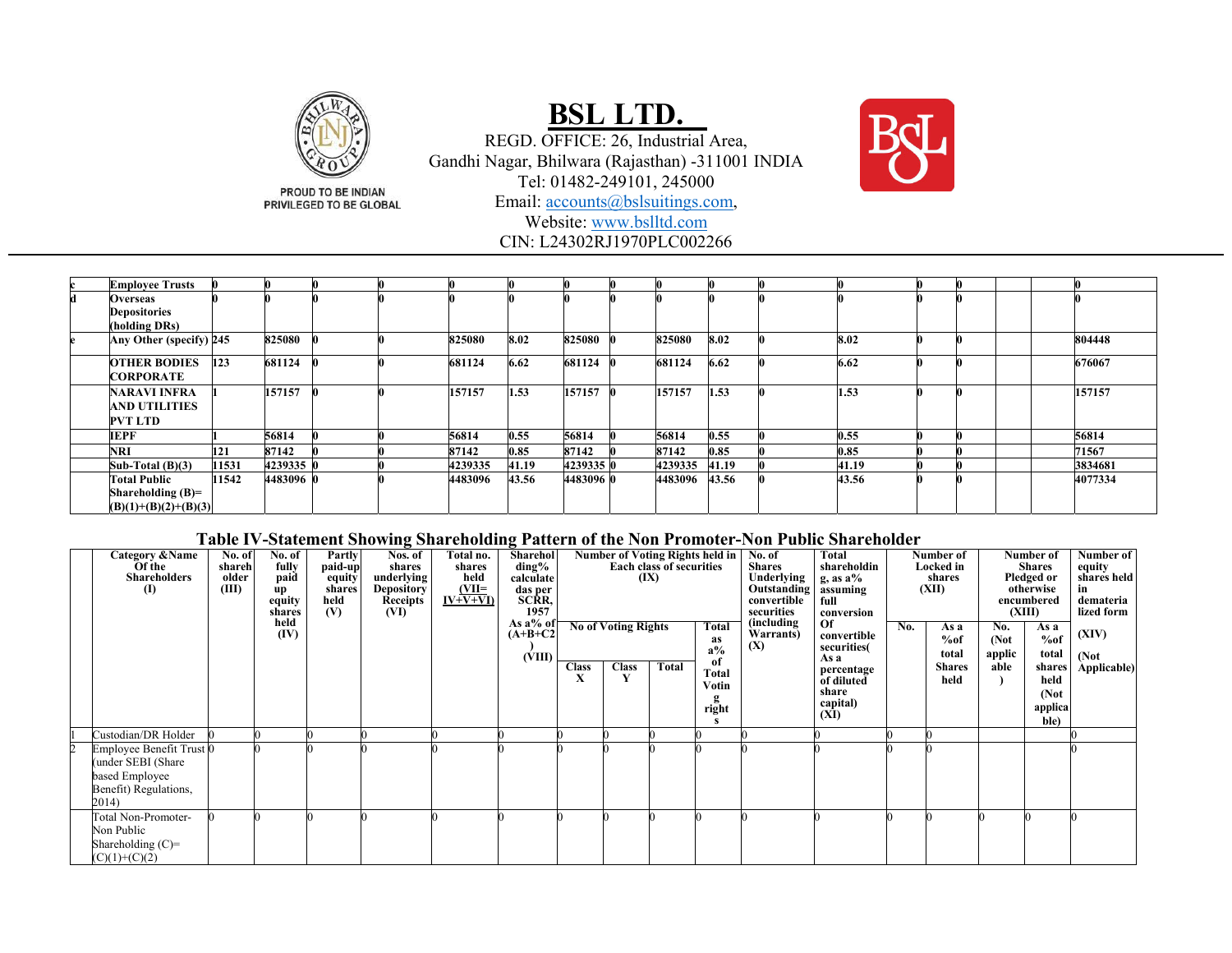

# **BSL LTD.**

REGD. OFFICE: 26, Industrial Area, Gandhi Nagar, Bhilwara (Rajasthan) -311001 INDIA Tel: 01482-249101, 245000 Email: accounts@bslsuitings.com, Website: www.bslltd.comCIN: L24302RJ1970PLC002266



#### **Table IV-Statement Showing Shareholding Pattern of the Non Promoter-Non Public Shareholder**

| Category & Name<br>Of the<br><b>Shareholders</b><br>$\bf{I}$                                       | No. of<br>shareh<br>older<br>(III) | No. of<br>fully<br>paid<br>up<br>equity<br>shares | Partly<br>paid-up<br>equity<br>shares<br>held<br>(V) | Nos. of<br>shares<br>underlying<br><b>Depository</b><br>Receipts<br>(VI) | Total no.<br>shares<br>held<br>$\frac{\text{(VII=}}{\text{IV+V+VI}}$ | Sharehol<br>$\mathrm{ding}\%$<br>calculate<br>das per<br>SCRR,<br>1957 |              |                                            | Number of Voting Rights held in<br><b>Each class of securities</b><br>(IX) |                                       | No. of<br><b>Shares</b><br>Underlying<br>Outstanding<br>convertible<br>securities | Total<br>shareholdin<br>g, as $a\%$<br>assuming<br>full<br>conversion |     | Number of<br>Number of<br><b>Shares</b><br>Locked in<br>Pledged or<br>shares<br>otherwise<br>(XII)<br>encumbered<br>(XIII) |                                |                                  | Number of<br>equity<br>shares held<br>demateria<br>lized form |
|----------------------------------------------------------------------------------------------------|------------------------------------|---------------------------------------------------|------------------------------------------------------|--------------------------------------------------------------------------|----------------------------------------------------------------------|------------------------------------------------------------------------|--------------|--------------------------------------------|----------------------------------------------------------------------------|---------------------------------------|-----------------------------------------------------------------------------------|-----------------------------------------------------------------------|-----|----------------------------------------------------------------------------------------------------------------------------|--------------------------------|----------------------------------|---------------------------------------------------------------|
|                                                                                                    |                                    | held<br>(IV)                                      |                                                      |                                                                          |                                                                      | As $a\%$ of<br>$(A+B+C2$<br>(VIII)                                     | <b>Class</b> | <b>No of Voting Rights</b><br><b>Class</b> | Total                                                                      | Total<br>as<br>$a\%$<br><sub>of</sub> | (including<br>Warrants)<br>(X)                                                    | <b>Of</b><br>convertible<br>securities(<br>As a                       | No. | As a<br>%of<br>total<br><b>Shares</b>                                                                                      | No.<br>(Not)<br>applic<br>able | As a<br>%of<br>total<br>shares   | (XIV)<br>(Not<br>Applicable)                                  |
|                                                                                                    |                                    |                                                   |                                                      |                                                                          |                                                                      |                                                                        | X            |                                            |                                                                            | Total<br>Votin<br>right               |                                                                                   | percentage<br>of diluted<br>share<br>capital)<br>(XI)                 |     | held                                                                                                                       |                                | held<br>(Not)<br>applica<br>ble) |                                                               |
| Custodian/DR Holder                                                                                |                                    |                                                   |                                                      |                                                                          |                                                                      |                                                                        |              |                                            |                                                                            |                                       |                                                                                   |                                                                       |     |                                                                                                                            |                                |                                  |                                                               |
| Employee Benefit Trust 0<br>(under SEBI (Share<br>based Employee<br>Benefit) Regulations,<br>2014) |                                    |                                                   |                                                      |                                                                          |                                                                      |                                                                        |              |                                            |                                                                            |                                       |                                                                                   |                                                                       |     |                                                                                                                            |                                |                                  |                                                               |
| Total Non-Promoter-<br>Non Public<br>Shareholding $(C)=$<br>$(C)(1)+(C)(2)$                        |                                    |                                                   |                                                      |                                                                          |                                                                      |                                                                        |              |                                            |                                                                            |                                       |                                                                                   |                                                                       |     |                                                                                                                            |                                |                                  |                                                               |

PROUD TO BE INDIAN PRIVILEGED TO BE GLOBAL